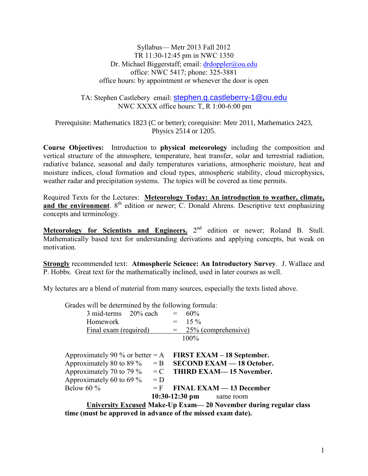Syllabus— Metr 2013 Fall 2012 TR 11:30-12:45 pm in NWC 1350 Dr. Michael Biggerstaff; email: [drdoppler@ou.edu](mailto:drdoppler@ou.edu) office: NWC 5417; phone: 325-3881 office hours: by appointment or whenever the door is open

## TA: Stephen Castlebery email: [stephen.g.castleberry-1@ou.edu](mailto:stephen.g.castleberry-1@ou.edu) NWC XXXX office hours: T, R 1:00-6:00 pm

Prerequisite: Mathematics 1823 (C or better); corequisite: Metr 2011, Mathematics 2423, Physics 2514 or 1205.

**Course Objectives:** Introduction to **physical meteorology** including the composition and vertical structure of the atmosphere, temperature, heat transfer, solar and terrestrial radiation, radiative balance, seasonal and daily temperatures variations, atmospheric moisture, heat and moisture indices, cloud formation and cloud types, atmospheric stability, cloud microphysics, weather radar and precipitation systems. The topics will be covered as time permits.

Required Texts for the Lectures: **Meteorology Today: An introduction to weather, climate,**  and the environment. 8<sup>th</sup> edition or newer; C. Donald Ahrens. Descriptive text emphasizing concepts and terminology.

**Meteorology for Scientists and Engineers.** 2<sup>nd</sup> edition or newer; Roland B. Stull. Mathematically based text for understanding derivations and applying concepts, but weak on motivation.

**Strongly** recommended text: **Atmospheric Science: An Introductory Survey**. J. Wallace and P. Hobbs. Great text for the mathematically inclined, used in later courses as well.

My lectures are a blend of material from many sources, especially the texts listed above.

Grades will be determined by the following formula:

| 3 mid-terms 20% each                                            | $=$   | 60%                              |
|-----------------------------------------------------------------|-------|----------------------------------|
| Homework                                                        | $=$   | $15\%$                           |
| Final exam (required)                                           |       | $= 25\%$ (comprehensive)         |
|                                                                 |       | 100%                             |
|                                                                 |       |                                  |
| Approximately 90 % or better $= A$                              |       | FIRST EXAM – 18 September.       |
| Approximately 80 to 89 $\%$                                     | $=$ B | <b>SECOND EXAM - 18 October.</b> |
| Approximately 70 to 79 $\%$ = C                                 |       | <b>THIRD EXAM—15 November.</b>   |
| Approximately 60 to 69 $\%$                                     | $= D$ |                                  |
| Below 60 $\%$                                                   | $=$ F | <b>FINAL EXAM - 13 December</b>  |
| $10:30-12:30$ pm<br>same room                                   |       |                                  |
| University Excused Make-Un Exam— 20 November during regular cla |       |                                  |

**University Excused Make-Up Exam— 20 November during regular class time (must be approved in advance of the missed exam date).**